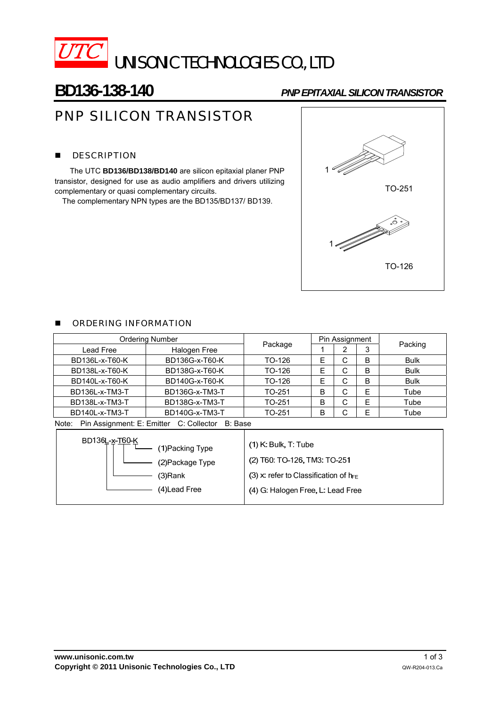

# **BD136-138-140** *PNP EPITAXIAL SILICON TRANSISTOR*

# PNP SILICON TRANSISTOR

# **DESCRIPTION**

The UTC **BD136/BD138/BD140** are silicon epitaxial planer PNP transistor, designed for use as audio amplifiers and drivers utilizing complementary or quasi complementary circuits.

The complementary NPN types are the BD135/BD137/ BD139.



## **E** ORDERING INFORMATION

| <b>Ordering Number</b>                                                                                                                |                |                                                                                                                                           | Pin Assignment |   |   |             |  |
|---------------------------------------------------------------------------------------------------------------------------------------|----------------|-------------------------------------------------------------------------------------------------------------------------------------------|----------------|---|---|-------------|--|
| Lead Free                                                                                                                             | Halogen Free   | Package                                                                                                                                   |                | 2 | 3 | Packing     |  |
| BD136L-x-T60-K                                                                                                                        | BD136G-x-T60-K | TO-126                                                                                                                                    | E              | C | B | <b>Bulk</b> |  |
| BD138L-x-T60-K                                                                                                                        | BD138G-x-T60-K | TO-126                                                                                                                                    | Е              | C | B | <b>Bulk</b> |  |
| BD140L-x-T60-K                                                                                                                        | BD140G-x-T60-K | TO-126                                                                                                                                    | Е              | C | B | Bulk        |  |
| BD136L-x-TM3-T                                                                                                                        | BD136G-x-TM3-T | TO-251                                                                                                                                    | <sub>B</sub>   | C | Ε | Tube        |  |
| BD138L-x-TM3-T                                                                                                                        | BD138G-x-TM3-T | TO-251                                                                                                                                    | <sub>B</sub>   | C | E | Tube        |  |
| BD140L-x-TM3-T<br>BD140G-x-TM3-T                                                                                                      |                | TO-251                                                                                                                                    | B              | C | E | Tube        |  |
| Note:                                                                                                                                 |                |                                                                                                                                           |                |   |   |             |  |
| Pin Assignment: E: Emitter C: Collector B: Base<br>BD136L-x-T60-K<br>(1) Packing Type<br>(2) Package Type<br>(3)Rank<br>(4) Lead Free |                | $(1)$ K: Bulk, T: Tube<br>(2) T60: TO-126, TM3: TO-251<br>(3) x: refer to Classification of $h_{FF}$<br>(4) G: Halogen Free, L: Lead Free |                |   |   |             |  |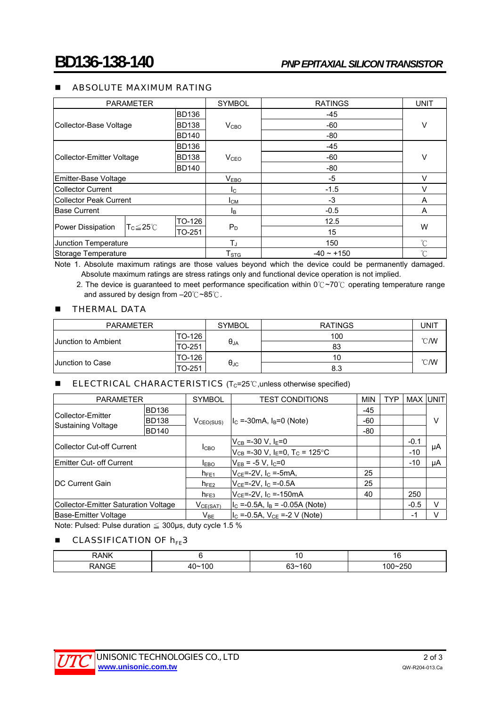## **ABSOLUTE MAXIMUM RATING**

| <b>PARAMETER</b>                                    |                  | <b>SYMBOL</b>    | <b>RATINGS</b>  | <b>UNIT</b>  |  |
|-----------------------------------------------------|------------------|------------------|-----------------|--------------|--|
|                                                     | <b>BD136</b>     |                  | -45             |              |  |
| Collector-Base Voltage                              | <b>BD138</b>     | V <sub>CBO</sub> | -60             | ٧            |  |
|                                                     | <b>BD140</b>     |                  | -80             |              |  |
| <b>BD136</b>                                        |                  |                  | -45             |              |  |
| Collector-Emitter Voltage                           | <b>BD138</b>     | V <sub>CEO</sub> | -60             | V            |  |
|                                                     | <b>BD140</b>     |                  | $-80$           |              |  |
| Emitter-Base Voltage                                |                  | V <sub>EBO</sub> | $-5$            | v            |  |
| Collector Current                                   |                  | $I_{\rm C}$      | $-1.5$          | v            |  |
| Collector Peak Current                              |                  | Iсм              | $-3$            | A            |  |
| <b>Base Current</b>                                 |                  | l <sub>B</sub>   | $-0.5$          | A            |  |
|                                                     | TO-126<br>TO-251 | $P_D$            | 12.5            | W            |  |
| Power Dissipation<br>$T_{C}$ $\leq$ 25 $^{\circ}$ C |                  |                  | 15              |              |  |
| Junction Temperature                                |                  | $T_J$            | 150             | $^{\circ}$ C |  |
| Storage Temperature                                 |                  | T <sub>STG</sub> | $-40 \sim +150$ | $^{\circ}$ C |  |

Note 1. Absolute maximum ratings are those values beyond which the device could be permanently damaged.

Absolute maximum ratings are stress ratings only and functional device operation is not implied. 2. The device is guaranteed to meet performance specification within 0℃~70 ℃ operating temperature range

and assured by design from –20℃~85℃.

#### **THERMAL DATA**

| <b>PARAMETER</b>           |        | <b>SYMBOL</b>        | <b>RATINGS</b> | UNIT           |  |
|----------------------------|--------|----------------------|----------------|----------------|--|
|                            | TO-126 |                      | 100            | $^{\circ}$ C/W |  |
| <b>Junction to Ambient</b> | TO-251 | $\theta_{JA}$        | 83             |                |  |
|                            | TO-126 |                      | 10             | $^{\circ}$ C/W |  |
| <b>Junction to Case</b>    | TO-251 | $\theta_{\text{JC}}$ | 8.3            |                |  |

#### **ELECTRICAL CHARACTERISTICS** ( $T_c = 25^\circ \text{C}$ , unless otherwise specified)

| <b>PARAMETER</b>                        |              | <b>SYMBOL</b>              | <b>TEST CONDITIONS</b>                                     |     | <b>TYP</b> | <b>MAX UNIT</b> |    |
|-----------------------------------------|--------------|----------------------------|------------------------------------------------------------|-----|------------|-----------------|----|
| Collector-Emitter<br>Sustaining Voltage | <b>BD136</b> |                            |                                                            | -45 |            |                 |    |
|                                         | <b>BD138</b> | V <sub>CEO(SUS)</sub>      | $I_c = -30mA$ , $I_B = 0$ (Note)                           | -60 |            |                 | V  |
|                                         | <b>BD140</b> |                            |                                                            | -80 |            |                 |    |
| <b>ICollector Cut-off Current</b>       |              | <b>I</b> CBO               | $V_{CB} = -30 V, IE=0$                                     |     |            | $-0.1$          | μA |
|                                         |              |                            | $V_{CB}$ =-30 V, I <sub>E</sub> =0, T <sub>C</sub> = 125°C |     |            | $-10$           |    |
| <b>Emitter Cut- off Current</b>         |              | <b>IEBO</b>                | $V_{EB}$ = -5 V, I <sub>C</sub> =0                         |     |            | $-10$           | μA |
| <b>IDC Current Gain</b>                 |              | $h_{FE1}$                  | $V_{CF}$ =-2V, $I_C$ =-5mA,                                | 25  |            |                 |    |
|                                         |              | $h_{FE2}$                  | $V_{CE} = -2V$ , $I_C = -0.5A$                             | 25  |            |                 |    |
|                                         |              | $h_{FE3}$                  | $V_{CE}$ =-2V, I <sub>C</sub> =-150mA                      | 40  |            | 250             |    |
| Collector-Emitter Saturation Voltage    |              | V <sub>CE(SAT)</sub>       | $I_C = -0.5A$ , $I_B = -0.05A$ (Note)                      |     |            | $-0.5$          |    |
| Base-Emitter Voltage                    |              | $\mathsf{V}_{\mathsf{BE}}$ | $I_{\rm C}$ =-0.5A, V <sub>CE</sub> =-2 V (Note)           |     |            | -1              |    |

Note: Pulsed: Pulse duration  $\leq$  300 µs, duty cycle 1.5 %

### **CLASSIFICATION OF**  $h_{FE}$ **3**

| <b>SAVIK</b> |                 | $\sim$ | ı<br>1 V  |
|--------------|-----------------|--------|-----------|
|              | 10 <sup>c</sup> | οc     | 250<br>UL |